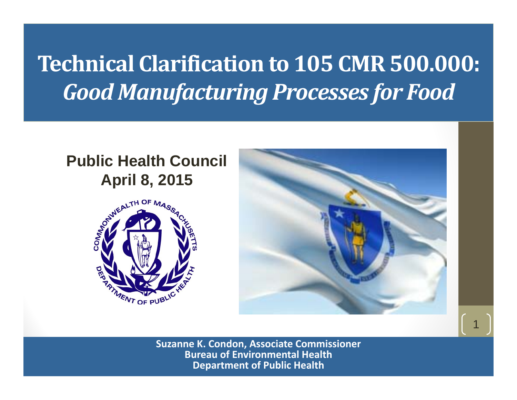### **Technical Clarification to 105 CMR500.000:** *Good Manufacturing Processes for Food*

#### **Public Health Council April 8, 2015**





1

**Suzanne K. Condon, Associate Commissioner Bureau of Environmental Health Department of Public Health**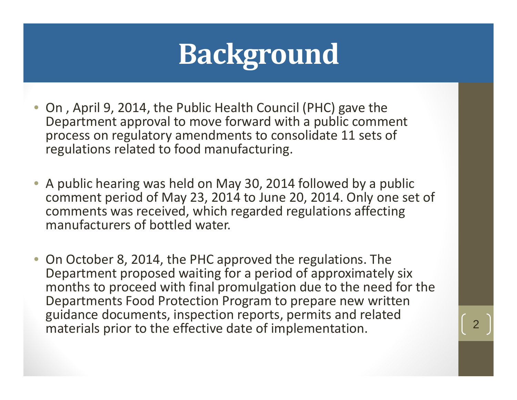# **Background**

- On , April 9, 2014, the Public Health Council (PHC) gave the Department approval to move forward with <sup>a</sup> public comment process on regulatory amendments to consolidate 11 sets of regulations related to food manufacturing.
- A public hearing was held on May 30, 2014 followed by <sup>a</sup> public comment period of May 23, 2014 to June 20, 2014. Only one set of comments was received, which regarded regulations affecting manufacturers of bottled water.
- On October 8, 2014, the PHC approved the regulations. The Department proposed waiting for <sup>a</sup> period of approximately six months to proceed with final promulgation due to the need for the Departments Food Protection Program to prepare new written guidance documents, inspection reports, permits and related materials prior to the effective date of implementation.  $\begin{array}{|c|c|} \hline \end{array}$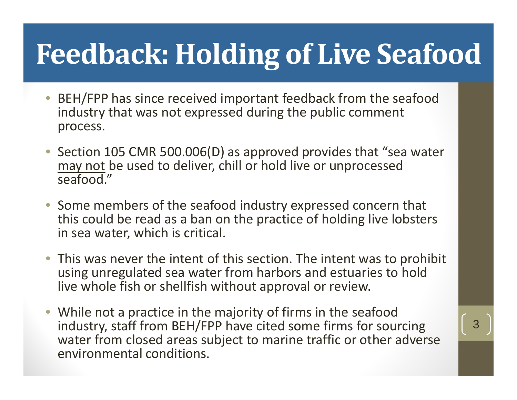# **Feedback: Holding of Live Seafood**

- • BEH/FPP has since received important feedback from the seafood industry that was not expressed during the public comment process.
- Section 105 CMR 500.006(D) as approved provides that "sea water may not be used to deliver, chill or hold live or unprocessed seafood."
- Some members of the seafood industry expressed concern that this could be read as <sup>a</sup> ban on the practice of holding live lobsters in sea water, which is critical.
- This was never the intent of this section. The intent was to prohibit using unregulated sea water from harbors and estuaries to hold live whole fish or shellfish without approval or review.
- While not <sup>a</sup> practice in the majority of firms in the seafood industry, staff from BEH/FPP have cited some firms for sourcing water from closed areas subject to marine traffic or other adverse environmental conditions.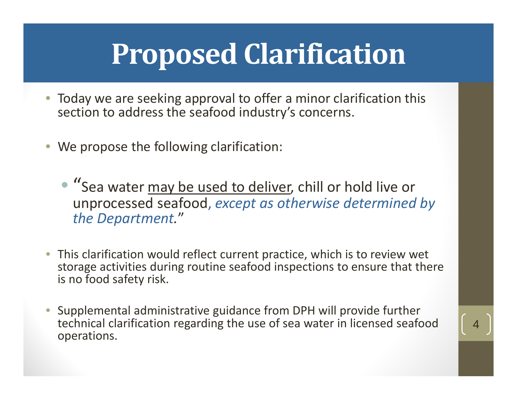# **Proposed Clarification**

- Today we are seeking approval to offer <sup>a</sup> minor clarification this section to address the seafood industry's concerns.
- We propose the following clarification:
	- "Sea water may be used to deliver, chill or hold live or unprocessed seafood, *except as otherwise determined by the Department.*"
- This clarification would reflect current practice, which is to review wet storage activities during routine seafood inspections to ensure that there is no food safety risk.
- • Supplemental administrative guidance from DPH will provide further technical clarification regarding the use of sea water in licensed seafood operations.